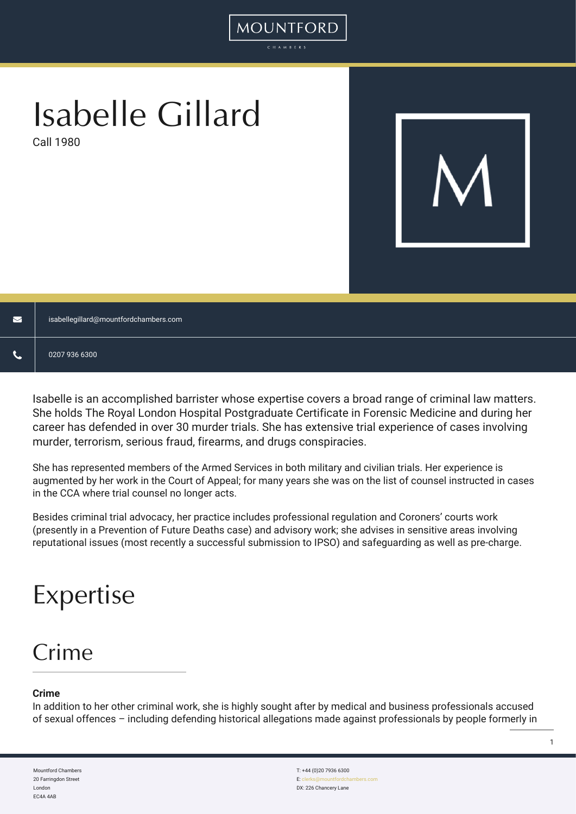# Isabelle Gillard

Call 1980



| $\blacktriangledown$ | isabellegillard@mountfordchambers.com |
|----------------------|---------------------------------------|
| ∽                    | 0207 936 6300                         |

MOUNTFORD

Isabelle is an accomplished barrister whose expertise covers a broad range of criminal law matters. She holds The Royal London Hospital Postgraduate Certificate in Forensic Medicine and during her career has defended in over 30 murder trials. She has extensive trial experience of cases involving murder, terrorism, serious fraud, firearms, and drugs conspiracies.

She has represented members of the Armed Services in both military and civilian trials. Her experience is augmented by her work in the Court of Appeal; for many years she was on the list of counsel instructed in cases in the CCA where trial counsel no longer acts.

Besides criminal trial advocacy, her practice includes professional regulation and Coroners' courts work (presently in a Prevention of Future Deaths case) and advisory work; she advises in sensitive areas involving reputational issues (most recently a successful submission to IPSO) and safeguarding as well as pre-charge.

## Expertise

### Crime

#### **Crime**

In addition to her other criminal work, she is highly sought after by medical and business professionals accused of sexual offences – including defending historical allegations made against professionals by people formerly in

Mountford Chambers 20 Farringdon Street London EC4A 4AB

T: +44 (0)20 7936 6300 E: clerks DX: 226 Chancery Lane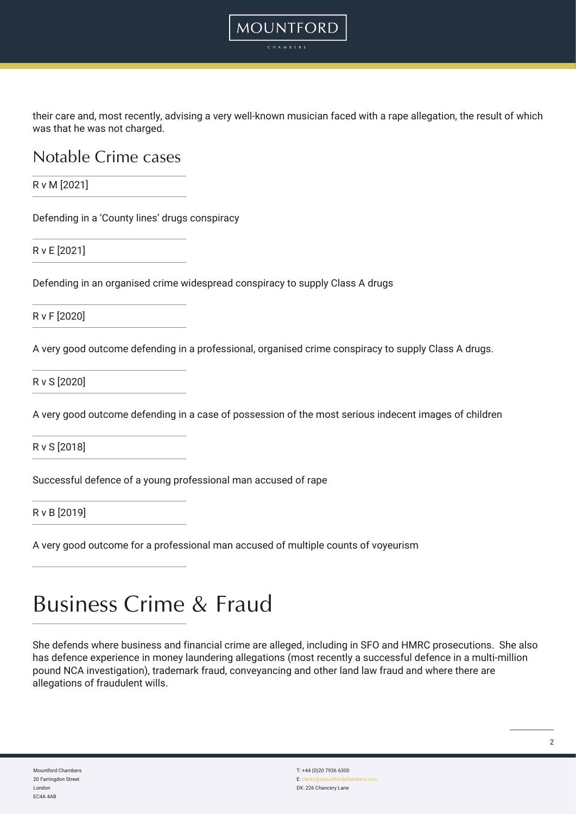their care and, most recently, advising a very well-known musician faced with a rape allegation, the result of which was that he was not charged.

MOUNTFORD CHAMBER:

#### Notable Crime cases

R v M [2021]

Defending in a 'County lines' drugs conspiracy

R v E [2021]

Defending in an organised crime widespread conspiracy to supply Class A drugs

R v F [2020]

A very good outcome defending in a professional, organised crime conspiracy to supply Class A drugs.

R v S [2020]

A very good outcome defending in a case of possession of the most serious indecent images of children

R v S [2018]

Successful defence of a young professional man accused of rape

R v B [2019]

A very good outcome for a professional man accused of multiple counts of voyeurism

## Business Crime & Fraud

She defends where business and financial crime are alleged, including in SFO and HMRC prosecutions. She also has defence experience in money laundering allegations (most recently a successful defence in a multi-million pound NCA investigation), trademark fraud, conveyancing and other land law fraud and where there are allegations of fraudulent wills.

Mountford Chambers 20 Farringdon Street London EC4A 4AB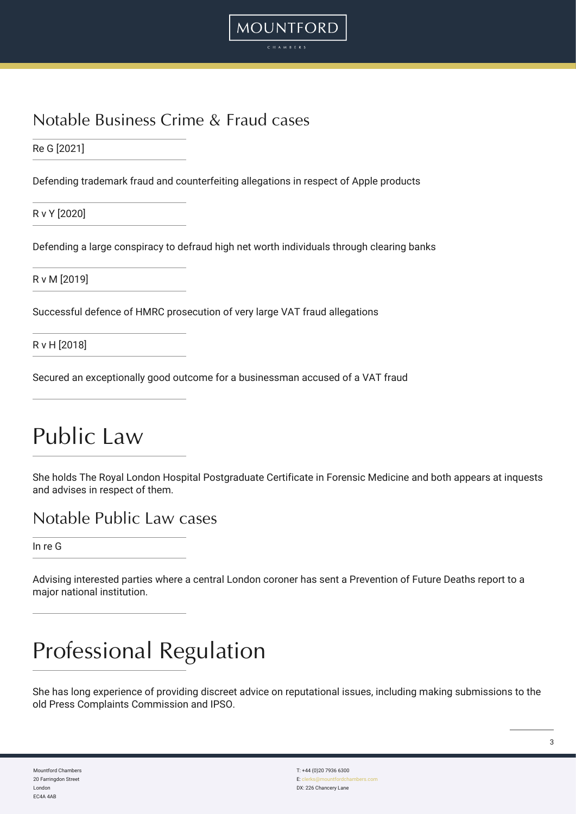#### Notable Business Crime & Fraud cases

Re G [2021]

Defending trademark fraud and counterfeiting allegations in respect of Apple products

**MOUNTFORD** 

R v Y [2020]

Defending a large conspiracy to defraud high net worth individuals through clearing banks

R v M [2019]

Successful defence of HMRC prosecution of very large VAT fraud allegations

R v H [2018]

Secured an exceptionally good outcome for a businessman accused of a VAT fraud

## Public Law

She holds The Royal London Hospital Postgraduate Certificate in Forensic Medicine and both appears at inquests and advises in respect of them.

#### Notable Public Law cases

In re G

Advising interested parties where a central London coroner has sent a Prevention of Future Deaths report to a major national institution.

## Professional Regulation

She has long experience of providing discreet advice on reputational issues, including making submissions to the old Press Complaints Commission and IPSO.